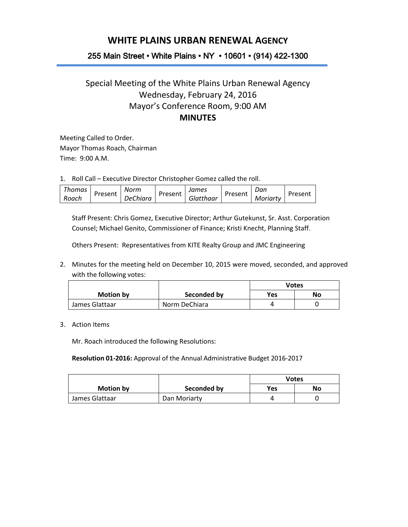## **WHITE PLAINS URBAN RENEWAL AGENCY**

## 255 Main Street • White Plains • NY • 10601 • (914) 422-1300

## Special Meeting of the White Plains Urban Renewal Agency Wednesday, February 24, 2016 Mayor's Conference Room, 9:00 AM **MINUTES**

Meeting Called to Order. Mayor Thomas Roach, Chairman Time: 9:00 A.M.

1. Roll Call – Executive Director Christopher Gomez called the roll.

| Thomas | Norm             |         | James     |         | Dan      |         |
|--------|------------------|---------|-----------|---------|----------|---------|
| Roach  | Present DeChiara | Present | Glatthaar | Present | Moriarty | Present |

Staff Present: Chris Gomez, Executive Director; Arthur Gutekunst, Sr. Asst. Corporation Counsel; Michael Genito, Commissioner of Finance; Kristi Knecht, Planning Staff.

Others Present: Representatives from KITE Realty Group and JMC Engineering

2. Minutes for the meeting held on December 10, 2015 were moved, seconded, and approved with the following votes:

|                  |               | Votes |    |
|------------------|---------------|-------|----|
| <b>Motion by</b> | Seconded by   | Yes   | No |
| James Glattaar   | Norm DeChiara |       |    |

## 3. Action Items

Mr. Roach introduced the following Resolutions:

**Resolution 01-2016:** Approval of the Annual Administrative Budget 2016-2017

|                |              | Votes |    |
|----------------|--------------|-------|----|
| Motion by      | Seconded by  | Yes   | No |
| James Glattaar | Dan Moriarty |       |    |